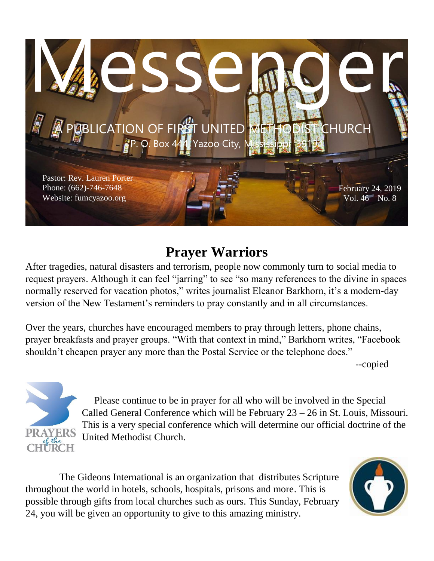

# **Prayer Warriors**

After tragedies, natural disasters and terrorism, people now commonly turn to social media to request prayers. Although it can feel "jarring" to see "so many references to the divine in spaces normally reserved for vacation photos," writes journalist Eleanor Barkhorn, it's a modern-day version of the New Testament's reminders to pray constantly and in all circumstances.

Over the years, churches have encouraged members to pray through letters, phone chains, prayer breakfasts and prayer groups. "With that context in mind," Barkhorn writes, "Facebook shouldn't cheapen prayer any more than the Postal Service or the telephone does."

--copied



 Please continue to be in prayer for all who will be involved in the Special Called General Conference which will be February 23 – 26 in St. Louis, Missouri. This is a very special conference which will determine our official doctrine of the United Methodist Church.

The Gideons International is an organization that distributes Scripture throughout the world in hotels, schools, hospitals, prisons and more. This is possible through gifts from local churches such as ours. This Sunday, February 24, you will be given an opportunity to give to this amazing ministry.

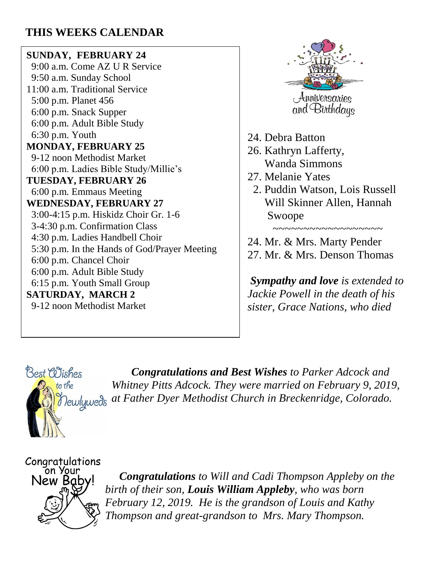#### **THIS WEEKS CALENDAR**

#### **SUNDAY, FEBRUARY 24**

 9:00 a.m. Come AZ U R Service 9:50 a.m. Sunday School 11:00 a.m. Traditional Service 5:00 p.m. Planet 456 6:00 p.m. Snack Supper 6:00 p.m. Adult Bible Study 6:30 p.m. Youth **MONDAY, FEBRUARY 25** 9-12 noon Methodist Market 6:00 p.m. Ladies Bible Study/Millie's **TUESDAY, FEBRUARY 26** 6:00 p.m. Emmaus Meeting **WEDNESDAY, FEBRUARY 27** 3:00-4:15 p.m. Hiskidz Choir Gr. 1-6 3-4:30 p.m. Confirmation Class 4:30 p.m. Ladies Handbell Choir 5:30 p.m. In the Hands of God/Prayer Meeting 6:00 p.m. Chancel Choir 6:00 p.m. Adult Bible Study 6:15 p.m. Youth Small Group **SATURDAY, MARCH 2** 9-12 noon Methodist Market



- 24. Debra Batton
- 26. Kathryn Lafferty, Wanda Simmons
- 27. Melanie Yates
	- 2. Puddin Watson, Lois Russell Will Skinner Allen, Hannah Swoope

 $\sim$ ~~~~~~~~

24. Mr. & Mrs. Marty Pender 27. Mr. & Mrs. Denson Thomas

*Sympathy and love is extended to Jackie Powell in the death of his sister, Grace Nations, who died* 



 *Congratulations and Best Wishes to Parker Adcock and Whitney Pitts Adcock. They were married on February 9, 2019, at Father Dyer Methodist Church in Breckenridge, Colorado.*

ón Your New Baby!

 *Congratulations to Will and Cadi Thompson Appleby on the birth of their son, Louis William Appleby, who was born February 12, 2019. He is the grandson of Louis and Kathy Thompson and great-grandson to Mrs. Mary Thompson.*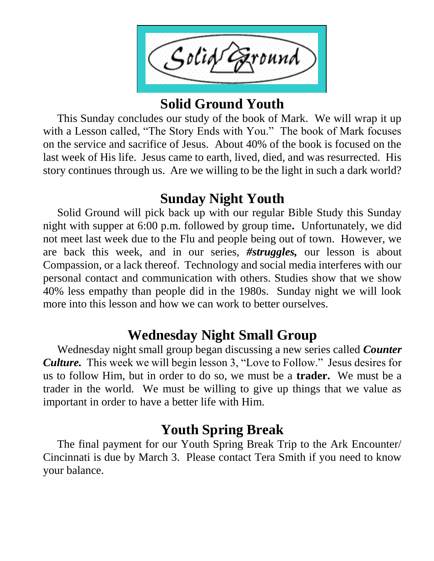Solid Ground

### **Solid Ground Youth**

 This Sunday concludes our study of the book of Mark. We will wrap it up with a Lesson called, "The Story Ends with You." The book of Mark focuses on the service and sacrifice of Jesus. About 40% of the book is focused on the last week of His life. Jesus came to earth, lived, died, and was resurrected. His story continues through us. Are we willing to be the light in such a dark world?

### **Sunday Night Youth**

 Solid Ground will pick back up with our regular Bible Study this Sunday night with supper at 6:00 p.m. followed by group time*.* Unfortunately, we did not meet last week due to the Flu and people being out of town. However, we are back this week, and in our series, *#struggles,* our lesson is about Compassion, or a lack thereof. Technology and social media interferes with our personal contact and communication with others. Studies show that we show 40% less empathy than people did in the 1980s. Sunday night we will look more into this lesson and how we can work to better ourselves.

# **Wednesday Night Small Group**

 Wednesday night small group began discussing a new series called *Counter Culture.* This week we will begin lesson 3, "Love to Follow." Jesus desires for us to follow Him, but in order to do so, we must be a **trader.** We must be a trader in the world. We must be willing to give up things that we value as important in order to have a better life with Him.

## **Youth Spring Break**

 The final payment for our Youth Spring Break Trip to the Ark Encounter/ Cincinnati is due by March 3. Please contact Tera Smith if you need to know your balance.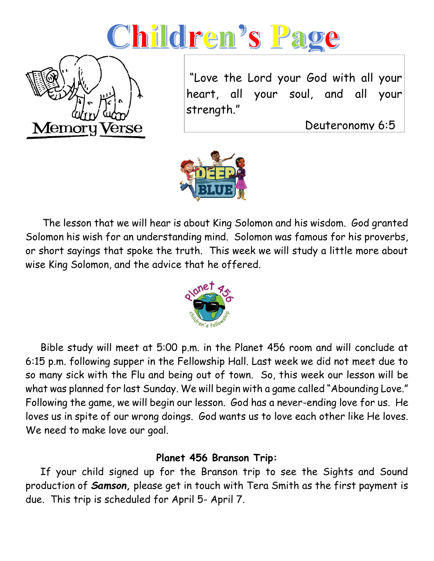



"Love the Lord your God with all your heart, all your soul, and all your strength."

Deuteronomy 6:5



 The lesson that we will hear is about King Solomon and his wisdom. God granted Solomon his wish for an understanding mind. Solomon was famous for his proverbs, or short sayings that spoke the truth. This week we will study a little more about wise King Solomon, and the advice that he offered.



 Bible study will meet at 5:00 p.m. in the Planet 456 room and will conclude at 6:15 p.m. following supper in the Fellowship Hall. Last week we did not meet due to so many sick with the Flu and being out of town. So, this week our lesson will be what was planned for last Sunday. We will begin with a game called "Abounding Love." Following the game, we will begin our lesson. God has a never-ending love for us. He loves us in spite of our wrong doings. God wants us to love each other like He loves. We need to make love our goal.

#### **Planet 456 Branson Trip:**

 If your child signed up for the Branson trip to see the Sights and Sound production of *Samson,* please get in touch with Tera Smith as the first payment is due. This trip is scheduled for April 5- April 7.